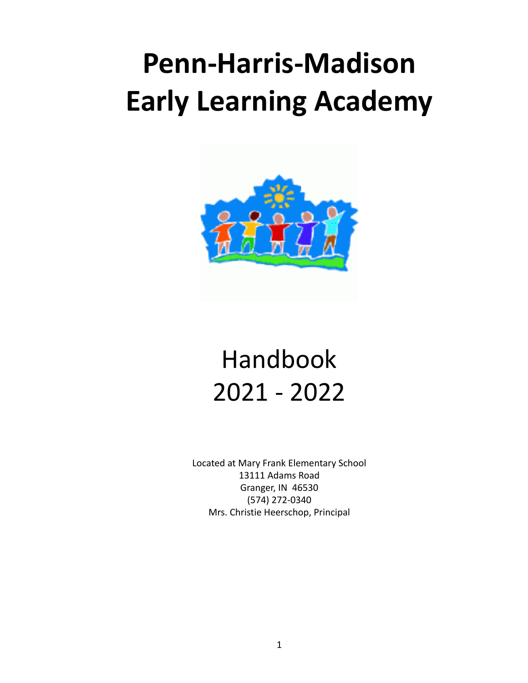# **Penn-Harris-Madison Early Learning Academy**



# Handbook 2021 - 2022

Located at Mary Frank Elementary School 13111 Adams Road Granger, IN 46530 (574) 272-0340 Mrs. Christie Heerschop, Principal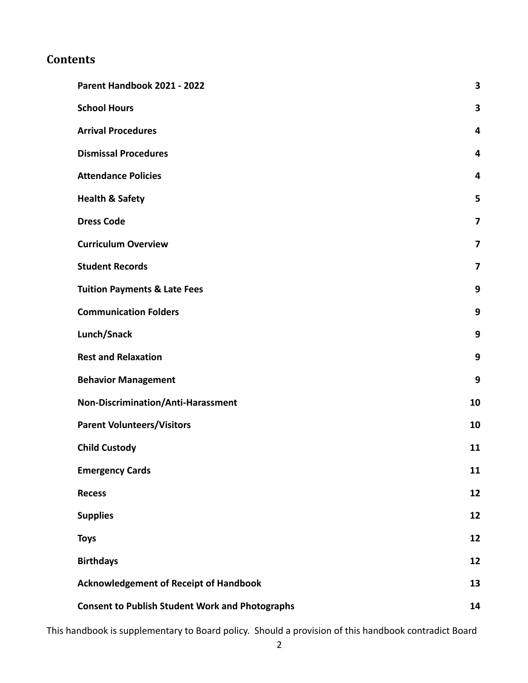#### **Contents**

| Parent Handbook 2021 - 2022                            | 3                       |
|--------------------------------------------------------|-------------------------|
| <b>School Hours</b>                                    | 3                       |
| <b>Arrival Procedures</b>                              | 4                       |
| <b>Dismissal Procedures</b>                            | 4                       |
| <b>Attendance Policies</b>                             | 4                       |
| <b>Health &amp; Safety</b>                             | 5                       |
| <b>Dress Code</b>                                      | $\overline{\mathbf{z}}$ |
| <b>Curriculum Overview</b>                             | 7                       |
| <b>Student Records</b>                                 | 7                       |
| <b>Tuition Payments &amp; Late Fees</b>                | 9                       |
| <b>Communication Folders</b>                           | 9                       |
| Lunch/Snack                                            | 9                       |
| <b>Rest and Relaxation</b>                             | 9                       |
| <b>Behavior Management</b>                             | 9                       |
| Non-Discrimination/Anti-Harassment                     | 10                      |
| <b>Parent Volunteers/Visitors</b>                      | 10                      |
| <b>Child Custody</b>                                   | 11                      |
| <b>Emergency Cards</b>                                 | 11                      |
| <b>Recess</b>                                          | 12                      |
| <b>Supplies</b>                                        | 12                      |
| <b>Toys</b>                                            | 12                      |
| <b>Birthdays</b>                                       | 12                      |
| <b>Acknowledgement of Receipt of Handbook</b>          | 13                      |
| <b>Consent to Publish Student Work and Photographs</b> | 14                      |

This handbook is supplementary to Board policy. Should a provision of this handbook contradict Board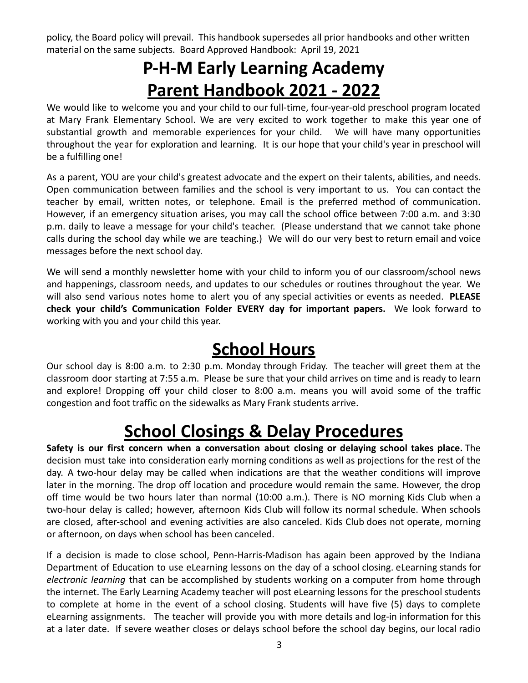policy, the Board policy will prevail. This handbook supersedes all prior handbooks and other written material on the same subjects. Board Approved Handbook: April 19, 2021

# **P-H-M Early Learning Academy Parent Handbook 2021 - 2022**

<span id="page-2-0"></span>We would like to welcome you and your child to our full-time, four-year-old preschool program located at Mary Frank Elementary School. We are very excited to work together to make this year one of substantial growth and memorable experiences for your child. We will have many opportunities throughout the year for exploration and learning. It is our hope that your child's year in preschool will be a fulfilling one!

As a parent, YOU are your child's greatest advocate and the expert on their talents, abilities, and needs. Open communication between families and the school is very important to us. You can contact the teacher by email, written notes, or telephone. Email is the preferred method of communication. However, if an emergency situation arises, you may call the school office between 7:00 a.m. and 3:30 p.m. daily to leave a message for your child's teacher. (Please understand that we cannot take phone calls during the school day while we are teaching.) We will do our very best to return email and voice messages before the next school day.

We will send a monthly newsletter home with your child to inform you of our classroom/school news and happenings, classroom needs, and updates to our schedules or routines throughout the year. We will also send various notes home to alert you of any special activities or events as needed. **PLEASE check your child's Communication Folder EVERY day for important papers.** We look forward to working with you and your child this year.

### **School Hours**

<span id="page-2-1"></span>Our school day is 8:00 a.m. to 2:30 p.m. Monday through Friday. The teacher will greet them at the classroom door starting at 7:55 a.m. Please be sure that your child arrives on time and is ready to learn and explore! Dropping off your child closer to 8:00 a.m. means you will avoid some of the traffic congestion and foot traffic on the sidewalks as Mary Frank students arrive.

# **School Closings & Delay Procedures**

**Safety is our first concern when a conversation about closing or delaying school takes place.** The decision must take into consideration early morning conditions as well as projections for the rest of the day. A two-hour delay may be called when indications are that the weather conditions will improve later in the morning. The drop off location and procedure would remain the same. However, the drop off time would be two hours later than normal (10:00 a.m.). There is NO morning Kids Club when a two-hour delay is called; however, afternoon Kids Club will follow its normal schedule. When schools are closed, after-school and evening activities are also canceled. Kids [Club](https://www.phmschools.org/kids-club) does not operate, morning or afternoon, on days when school has been canceled.

If a decision is made to close school, Penn-Harris-Madison has again been approved by the Indiana Department of Education to use eLearning lessons on the day of a school closing. eLearning stands for *electronic learning* that can be accomplished by students working on a computer from home through the internet. The Early Learning Academy teacher will post eLearning lessons for the preschool students to complete at home in the event of a school closing. Students will have five (5) days to complete eLearning assignments. The teacher will provide you with more details and log-in information for this at a later date. If severe weather closes or delays school before the school day begins, our local radio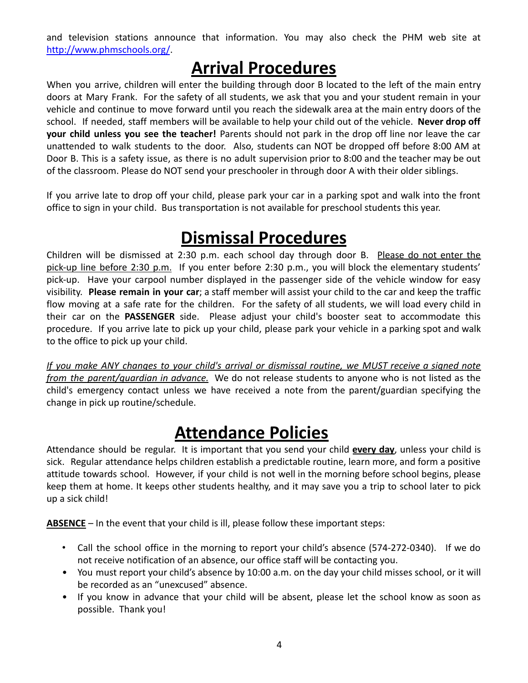and television stations announce that information. You may also check the PHM web site at <http://www.phmschools.org/>.

## **Arrival Procedures**

<span id="page-3-0"></span>When you arrive, children will enter the building through door B located to the left of the main entry doors at Mary Frank. For the safety of all students, we ask that you and your student remain in your vehicle and continue to move forward until you reach the sidewalk area at the main entry doors of the school. If needed, staff members will be available to help your child out of the vehicle. **Never drop off your child unless you see the teacher!** Parents should not park in the drop off line nor leave the car unattended to walk students to the door. Also, students can NOT be dropped off before 8:00 AM at Door B. This is a safety issue, as there is no adult supervision prior to 8:00 and the teacher may be out of the classroom. Please do NOT send your preschooler in through door A with their older siblings.

If you arrive late to drop off your child, please park your car in a parking spot and walk into the front office to sign in your child. Bus transportation is not available for preschool students this year.

## **Dismissal Procedures**

<span id="page-3-1"></span>Children will be dismissed at 2:30 p.m. each school day through door B. Please do not enter the pick-up line before 2:30 p.m. If you enter before 2:30 p.m., you will block the elementary students' pick-up. Have your carpool number displayed in the passenger side of the vehicle window for easy visibility. **Please remain in your car**; a staff member will assist your child to the car and keep the traffic flow moving at a safe rate for the children. For the safety of all students, we will load every child in their car on the **PASSENGER** side. Please adjust your child's booster seat to accommodate this procedure. If you arrive late to pick up your child, please park your vehicle in a parking spot and walk to the office to pick up your child.

If you make ANY changes to your child's arrival or dismissal routine, we MUST receive a signed note *from the parent/guardian in advance.* We do not release students to anyone who is not listed as the child's emergency contact unless we have received a note from the parent/guardian specifying the change in pick up routine/schedule.

### **Attendance Policies**

<span id="page-3-2"></span>Attendance should be regular. It is important that you send your child **every day**, unless your child is sick. Regular attendance helps children establish a predictable routine, learn more, and form a positive attitude towards school. However, if your child is not well in the morning before school begins, please keep them at home. It keeps other students healthy, and it may save you a trip to school later to pick up a sick child!

**ABSENCE** – In the event that your child is ill, please follow these important steps:

- Call the school office in the morning to report your child's absence (574-272-0340). If we do not receive notification of an absence, our office staff will be contacting you.
- You must report your child's absence by 10:00 a.m. on the day your child misses school, or it will be recorded as an "unexcused" absence.
- If you know in advance that your child will be absent, please let the school know as soon as possible. Thank you!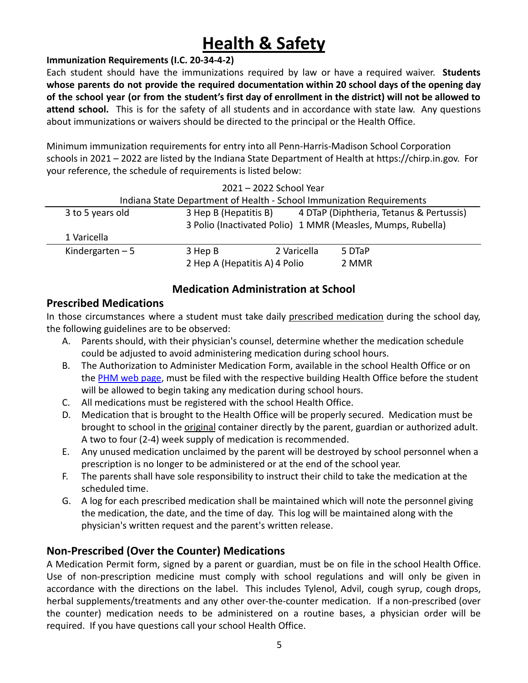# **Health & Safety**

#### <span id="page-4-0"></span>**Immunization Requirements (I.C. 20-34-4-2)**

Each student should have the immunizations required by law or have a required waiver. **Students whose parents do not provide the required documentation within 20 school days of the opening day** of the school year (or from the student's first day of enrollment in the district) will not be allowed to **attend school.** This is for the safety of all students and in accordance with state law. Any questions about immunizations or waivers should be directed to the principal or the Health Office.

Minimum immunization requirements for entry into all Penn-Harris-Madison School Corporation schools in 2021 – 2022 are listed by the Indiana State Department of Health at https://chirp.in.gov. For your reference, the schedule of requirements is listed below:

2021 – 2022 School Year

|                                                                       |                                                             | ZUZT – ZUZZ SCHOOL YEAR                                           |        |  |  |
|-----------------------------------------------------------------------|-------------------------------------------------------------|-------------------------------------------------------------------|--------|--|--|
| Indiana State Department of Health - School Immunization Requirements |                                                             |                                                                   |        |  |  |
| 3 to 5 years old                                                      |                                                             | 4 DTaP (Diphtheria, Tetanus & Pertussis)<br>3 Hep B (Hepatitis B) |        |  |  |
|                                                                       | 3 Polio (Inactivated Polio) 1 MMR (Measles, Mumps, Rubella) |                                                                   |        |  |  |
| 1 Varicella                                                           |                                                             |                                                                   |        |  |  |
| Kindergarten $-5$                                                     | 3 Hep B                                                     | 2 Varicella                                                       | 5 DTaP |  |  |
|                                                                       | 2 Hep A (Hepatitis A) 4 Polio                               |                                                                   | 2 MMR  |  |  |

#### **Medication Administration at School**

#### **Prescribed Medications**

In those circumstances where a student must take daily prescribed medication during the school day, the following guidelines are to be observed:

- A. Parents should, with their physician's counsel, determine whether the medication schedule could be adjusted to avoid administering medication during school hours.
- B. The Authorization to Administer Medication Form, available in the school Health Office or on the [PHM web page](https://www.phmschools.org/forms-administering-medications-school), must be filed with the respective building Health Office before the student will be allowed to begin taking any medication during school hours.
- C. All medications must be registered with the school Health Office.
- D. Medication that is brought to the Health Office will be properly secured. Medication must be brought to school in the original container directly by the parent, guardian or authorized adult. A two to four (2-4) week supply of medication is recommended.
- E. Any unused medication unclaimed by the parent will be destroyed by school personnel when a prescription is no longer to be administered or at the end of the school year.
- F. The parents shall have sole responsibility to instruct their child to take the medication at the scheduled time.
- G. A log for each prescribed medication shall be maintained which will note the personnel giving the medication, the date, and the time of day. This log will be maintained along with the physician's written request and the parent's written release.

#### **Non-Prescribed (Over the Counter) Medications**

A Medication Permit form, signed by a parent or guardian, must be on file in the school Health Office. Use of non-prescription medicine must comply with school regulations and will only be given in accordance with the directions on the label. This includes Tylenol, Advil, cough syrup, cough drops, herbal supplements/treatments and any other over-the-counter medication. If a non-prescribed (over the counter) medication needs to be administered on a routine bases, a physician order will be required. If you have questions call your school Health Office.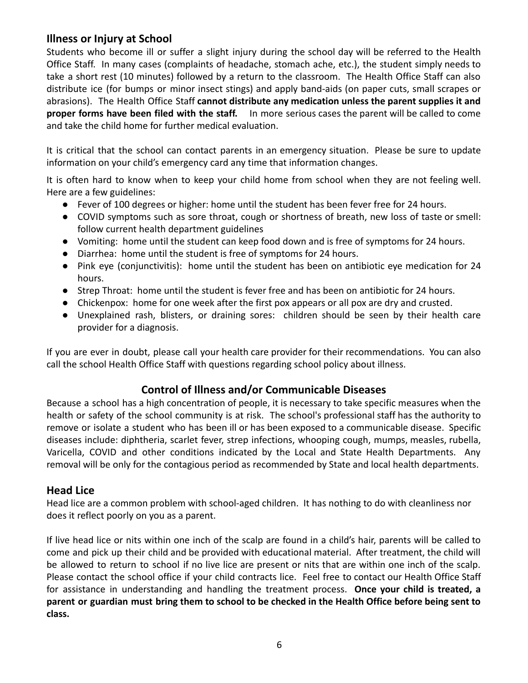#### **Illness or Injury at School**

Students who become ill or suffer a slight injury during the school day will be referred to the Health Office Staff. In many cases (complaints of headache, stomach ache, etc.), the student simply needs to take a short rest (10 minutes) followed by a return to the classroom. The Health Office Staff can also distribute ice (for bumps or minor insect stings) and apply band-aids (on paper cuts, small scrapes or abrasions). The Health Office Staff **cannot distribute any medication unless the parent supplies it and proper forms have been filed with the staff.** In more serious cases the parent will be called to come and take the child home for further medical evaluation.

It is critical that the school can contact parents in an emergency situation. Please be sure to update information on your child's emergency card any time that information changes.

It is often hard to know when to keep your child home from school when they are not feeling well. Here are a few guidelines:

- Fever of 100 degrees or higher: home until the student has been fever free for 24 hours.
- COVID symptoms such as sore throat, cough or shortness of breath, new loss of taste or smell: follow current health department guidelines
- Vomiting: home until the student can keep food down and is free of symptoms for 24 hours.
- Diarrhea: home until the student is free of symptoms for 24 hours.
- Pink eye (conjunctivitis): home until the student has been on antibiotic eye medication for 24 hours.
- Strep Throat: home until the student is fever free and has been on antibiotic for 24 hours.
- Chickenpox: home for one week after the first pox appears or all pox are dry and crusted.
- Unexplained rash, blisters, or draining sores: children should be seen by their health care provider for a diagnosis.

If you are ever in doubt, please call your health care provider for their recommendations. You can also call the school Health Office Staff with questions regarding school policy about illness.

#### **Control of Illness and/or Communicable Diseases**

Because a school has a high concentration of people, it is necessary to take specific measures when the health or safety of the school community is at risk. The school's professional staff has the authority to remove or isolate a student who has been ill or has been exposed to a communicable disease. Specific diseases include: diphtheria, scarlet fever, strep infections, whooping cough, mumps, measles, rubella, Varicella, COVID and other conditions indicated by the Local and State Health Departments. Any removal will be only for the contagious period as recommended by State and local health departments.

#### **Head Lice**

Head lice are a common problem with school-aged children. It has nothing to do with cleanliness nor does it reflect poorly on you as a parent.

If live head lice or nits within one inch of the scalp are found in a child's hair, parents will be called to come and pick up their child and be provided with educational material. After treatment, the child will be allowed to return to school if no live lice are present or nits that are within one inch of the scalp. Please contact the school office if your child contracts lice. Feel free to contact our Health Office Staff for assistance in understanding and handling the treatment process. **Once your child is treated, a** parent or guardian must bring them to school to be checked in the Health Office before being sent to **class.**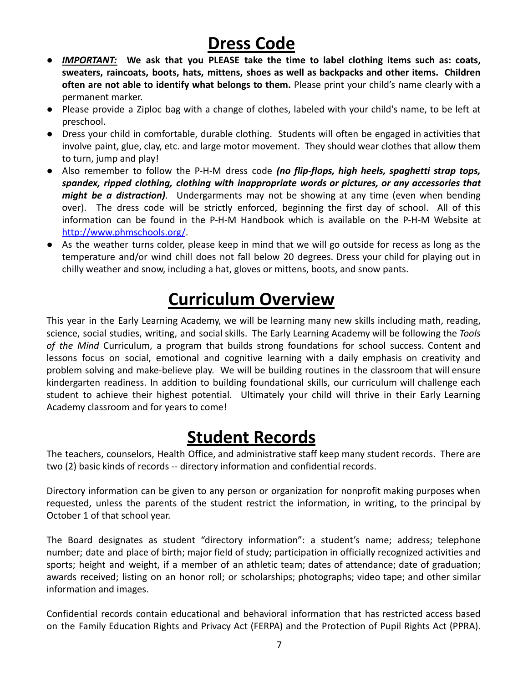# **Dress Code**

- <span id="page-6-0"></span>● *IMPORTANT:* **We ask that you PLEASE take the time to label clothing items such as: coats, sweaters, raincoats, boots, hats, mittens, shoes as well as backpacks and other items. Children often are not able to identify what belongs to them.** Please print your child's name clearly with a permanent marker.
- Please provide a Ziploc bag with a change of clothes, labeled with your child's name, to be left at preschool.
- Dress your child in comfortable, durable clothing. Students will often be engaged in activities that involve paint, glue, clay, etc. and large motor movement. They should wear clothes that allow them to turn, jump and play!
- Also remember to follow the P-H-M dress code *(no flip-flops, high heels, spaghetti strap tops, spandex, ripped clothing, clothing with inappropriate words or pictures, or any accessories that might be a distraction)*. Undergarments may not be showing at any time (even when bending over). The dress code will be strictly enforced, beginning the first day of school. All of this information can be found in the P-H-M Handbook which is available on the P-H-M Website at <http://www.phmschools.org/>.
- As the weather turns colder, please keep in mind that we will go outside for recess as long as the temperature and/or wind chill does not fall below 20 degrees. Dress your child for playing out in chilly weather and snow, including a hat, gloves or mittens, boots, and snow pants.

# **Curriculum Overview**

<span id="page-6-1"></span>This year in the Early Learning Academy, we will be learning many new skills including math, reading, science, social studies, writing, and social skills. The Early Learning Academy will be following the *Tools of the Mind* Curriculum, a program that builds strong foundations for school success. Content and lessons focus on social, emotional and cognitive learning with a daily emphasis on creativity and problem solving and make-believe play. We will be building routines in the classroom that will ensure kindergarten readiness. In addition to building foundational skills, our curriculum will challenge each student to achieve their highest potential. Ultimately your child will thrive in their Early Learning Academy classroom and for years to come!

### **Student Records**

<span id="page-6-2"></span>The teachers, counselors, Health Office, and administrative staff keep many student records. There are two (2) basic kinds of records -- directory information and confidential records.

Directory information can be given to any person or organization for nonprofit making purposes when requested, unless the parents of the student restrict the information, in writing, to the principal by October 1 of that school year.

The Board designates as student "directory information": a student's name; address; telephone number; date and place of birth; major field of study; participation in officially recognized activities and sports; height and weight, if a member of an athletic team; dates of attendance; date of graduation; awards received; listing on an honor roll; or scholarships; photographs; video tape; and other similar information and images.

Confidential records contain educational and behavioral information that has restricted access based on the Family Education Rights and Privacy Act (FERPA) and the Protection of Pupil Rights Act (PPRA).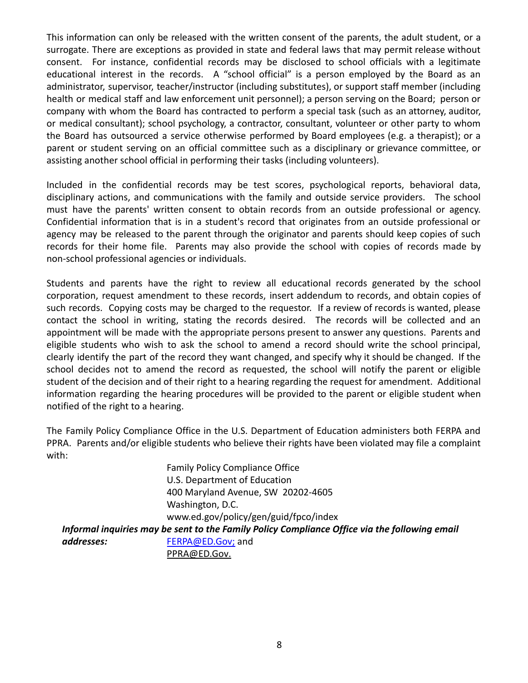This information can only be released with the written consent of the parents, the adult student, or a surrogate. There are exceptions as provided in state and federal laws that may permit release without consent. For instance, confidential records may be disclosed to school officials with a legitimate educational interest in the records. A "school official" is a person employed by the Board as an administrator, supervisor, teacher/instructor (including substitutes), or support staff member (including health or medical staff and law enforcement unit personnel); a person serving on the Board; person or company with whom the Board has contracted to perform a special task (such as an attorney, auditor, or medical consultant); school psychology, a contractor, consultant, volunteer or other party to whom the Board has outsourced a service otherwise performed by Board employees (e.g. a therapist); or a parent or student serving on an official committee such as a disciplinary or grievance committee, or assisting another school official in performing their tasks (including volunteers).

Included in the confidential records may be test scores, psychological reports, behavioral data, disciplinary actions, and communications with the family and outside service providers. The school must have the parents' written consent to obtain records from an outside professional or agency. Confidential information that is in a student's record that originates from an outside professional or agency may be released to the parent through the originator and parents should keep copies of such records for their home file. Parents may also provide the school with copies of records made by non-school professional agencies or individuals.

Students and parents have the right to review all educational records generated by the school corporation, request amendment to these records, insert addendum to records, and obtain copies of such records. Copying costs may be charged to the requestor. If a review of records is wanted, please contact the school in writing, stating the records desired. The records will be collected and an appointment will be made with the appropriate persons present to answer any questions. Parents and eligible students who wish to ask the school to amend a record should write the school principal, clearly identify the part of the record they want changed, and specify why it should be changed. If the school decides not to amend the record as requested, the school will notify the parent or eligible student of the decision and of their right to a hearing regarding the request for amendment. Additional information regarding the hearing procedures will be provided to the parent or eligible student when notified of the right to a hearing.

The Family Policy Compliance Office in the U.S. Department of Education administers both FERPA and PPRA. Parents and/or eligible students who believe their rights have been violated may file a complaint with:

> Family Policy Compliance Office U.S. Department of Education 400 Maryland Avenue, SW 20202-4605 Washington, D.C. www.ed.gov/policy/gen/guid/fpco/index

*Informal inquiries may be sent to the Family Policy Compliance Office via the following email addresses:* FERPA@ED.Gov; and [PPRA@ED.Gov](mailto:PPRA@ED.Gov).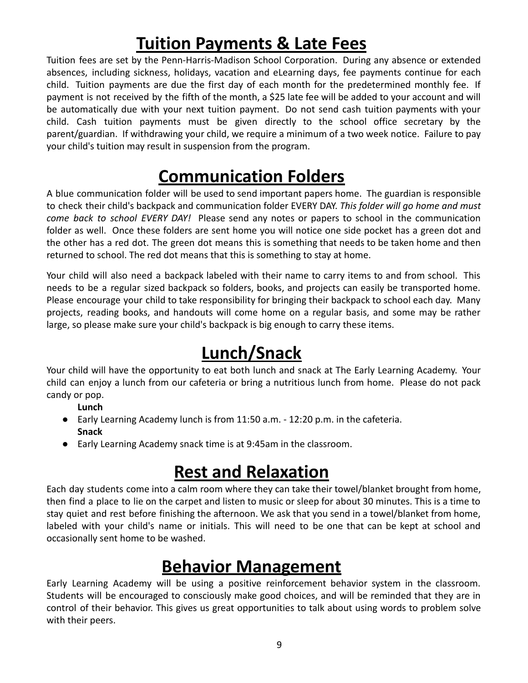# **Tuition Payments & Late Fees**

<span id="page-8-0"></span>Tuition fees are set by the Penn-Harris-Madison School Corporation. During any absence or extended absences, including sickness, holidays, vacation and eLearning days, fee payments continue for each child. Tuition payments are due the first day of each month for the predetermined monthly fee. If payment is not received by the fifth of the month, a \$25 late fee will be added to your account and will be automatically due with your next tuition payment. Do not send cash tuition payments with your child. Cash tuition payments must be given directly to the school office secretary by the parent/guardian. If withdrawing your child, we require a minimum of a two week notice. Failure to pay your child's tuition may result in suspension from the program.

# **Communication Folders**

<span id="page-8-1"></span>A blue communication folder will be used to send important papers home. The guardian is responsible to check their child's backpack and communication folder EVERY DAY. *This folder will go home and must come back to school EVERY DAY!* Please send any notes or papers to school in the communication folder as well. Once these folders are sent home you will notice one side pocket has a green dot and the other has a red dot. The green dot means this is something that needs to be taken home and then returned to school. The red dot means that this is something to stay at home.

Your child will also need a backpack labeled with their name to carry items to and from school. This needs to be a regular sized backpack so folders, books, and projects can easily be transported home. Please encourage your child to take responsibility for bringing their backpack to school each day. Many projects, reading books, and handouts will come home on a regular basis, and some may be rather large, so please make sure your child's backpack is big enough to carry these items.

# **Lunch/Snack**

<span id="page-8-2"></span>Your child will have the opportunity to eat both lunch and snack at The Early Learning Academy. Your child can enjoy a lunch from our cafeteria or bring a nutritious lunch from home. Please do not pack candy or pop.

**Lunch**

- Early Learning Academy lunch is from 11:50 a.m. 12:20 p.m. in the cafeteria. **Snack**
- Early Learning Academy snack time is at 9:45am in the classroom.

# **Rest and Relaxation**

<span id="page-8-3"></span>Each day students come into a calm room where they can take their towel/blanket brought from home, then find a place to lie on the carpet and listen to music or sleep for about 30 minutes. This is a time to stay quiet and rest before finishing the afternoon. We ask that you send in a towel/blanket from home, labeled with your child's name or initials. This will need to be one that can be kept at school and occasionally sent home to be washed.

## **Behavior Management**

<span id="page-8-4"></span>Early Learning Academy will be using a positive reinforcement behavior system in the classroom. Students will be encouraged to consciously make good choices, and will be reminded that they are in control of their behavior. This gives us great opportunities to talk about using words to problem solve with their peers.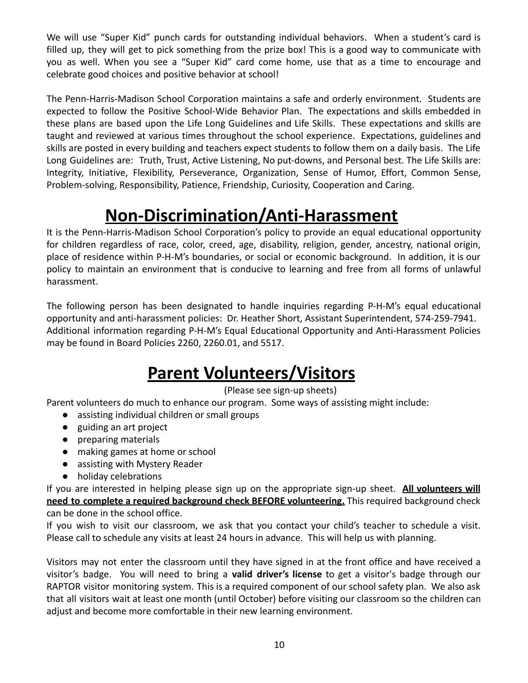We will use "Super Kid" punch cards for outstanding individual behaviors. When a student's card is filled up, they will get to pick something from the prize box! This is a good way to communicate with you as well. When you see a "Super Kid" card come home, use that as a time to encourage and celebrate good choices and positive behavior at school!

The Penn-Harris-Madison School Corporation maintains a safe and orderly environment. Students are expected to follow the Positive School-Wide Behavior Plan. The expectations and skills embedded in these plans are based upon the Life Long Guidelines and Life Skills. These expectations and skills are taught and reviewed at various times throughout the school experience. Expectations, guidelines and skills are posted in every building and teachers expect students to follow them on a daily basis. The Life Long Guidelines are: Truth, Trust, Active Listening, No put-downs, and Personal best. The Life Skills are: Integrity, Initiative, Flexibility, Perseverance, Organization, Sense of Humor, Effort, Common Sense, Problem-solving, Responsibility, Patience, Friendship, Curiosity, Cooperation and Caring.

# **Non-Discrimination/Anti-Harassment**

<span id="page-9-0"></span>It is the Penn-Harris-Madison School Corporation's policy to provide an equal educational opportunity for children regardless of race, color, creed, age, disability, religion, gender, ancestry, national origin, place of residence within P-H-M's boundaries, or social or economic background. In addition, it is our policy to maintain an environment that is conducive to learning and free from all forms of unlawful harassment.

The following person has been designated to handle inquiries regarding P-H-M's equal educational opportunity and anti-harassment policies: Dr. Heather Short, Assistant Superintendent, 574-259-7941. Additional information regarding P-H-M's Equal Educational Opportunity and Anti-Harassment Policies may be found in Board Policies 2260, 2260.01, and 5517.

## **Parent Volunteers/Visitors**

#### (Please see sign-up sheets)

<span id="page-9-1"></span>Parent volunteers do much to enhance our program. Some ways of assisting might include:

- assisting individual children or small groups
- guiding an art project
- preparing materials
- making games at home or school
- assisting with Mystery Reader
- holiday celebrations

If you are interested in helping please sign up on the appropriate sign-up sheet. **All volunteers will need to complete a required background check BEFORE volunteering.** This required background check can be done in the school office.

If you wish to visit our classroom, we ask that you contact your child's teacher to schedule a visit. Please call to schedule any visits at least 24 hours in advance. This will help us with planning.

Visitors may not enter the classroom until they have signed in at the front office and have received a visitor's badge. You will need to bring a **valid driver's license** to get a visitor's badge through our RAPTOR visitor monitoring system. This is a required component of our school safety plan. We also ask that all visitors wait at least one month (until October) before visiting our classroom so the children can adjust and become more comfortable in their new learning environment.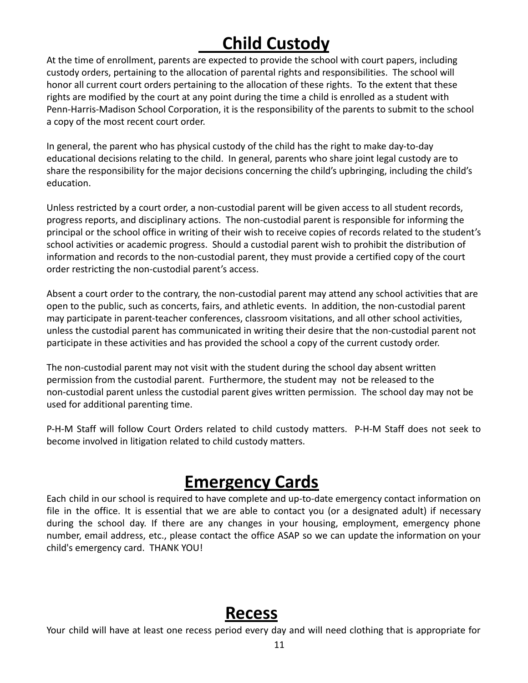# **Child Custody**

<span id="page-10-0"></span>At the time of enrollment, parents are expected to provide the school with court papers, including custody orders, pertaining to the allocation of parental rights and responsibilities. The school will honor all current court orders pertaining to the allocation of these rights. To the extent that these rights are modified by the court at any point during the time a child is enrolled as a student with Penn-Harris-Madison School Corporation, it is the responsibility of the parents to submit to the school a copy of the most recent court order.

In general, the parent who has physical custody of the child has the right to make day-to-day educational decisions relating to the child. In general, parents who share joint legal custody are to share the responsibility for the major decisions concerning the child's upbringing, including the child's education.

Unless restricted by a court order, a non-custodial parent will be given access to all student records, progress reports, and disciplinary actions. The non-custodial parent is responsible for informing the principal or the school office in writing of their wish to receive copies of records related to the student's school activities or academic progress. Should a custodial parent wish to prohibit the distribution of information and records to the non-custodial parent, they must provide a certified copy of the court order restricting the non-custodial parent's access.

Absent a court order to the contrary, the non-custodial parent may attend any school activities that are open to the public, such as concerts, fairs, and athletic events. In addition, the non-custodial parent may participate in parent-teacher conferences, classroom visitations, and all other school activities, unless the custodial parent has communicated in writing their desire that the non-custodial parent not participate in these activities and has provided the school a copy of the current custody order.

The non-custodial parent may not visit with the student during the school day absent written permission from the custodial parent. Furthermore, the student may not be released to the non-custodial parent unless the custodial parent gives written permission. The school day may not be used for additional parenting time.

P-H-M Staff will follow Court Orders related to child custody matters. P-H-M Staff does not seek to become involved in litigation related to child custody matters.

### **Emergency Cards**

<span id="page-10-1"></span>Each child in our school is required to have complete and up-to-date emergency contact information on file in the office. It is essential that we are able to contact you (or a designated adult) if necessary during the school day. If there are any changes in your housing, employment, emergency phone number, email address, etc., please contact the office ASAP so we can update the information on your child's emergency card. THANK YOU!

#### **Recess**

<span id="page-10-2"></span>Your child will have at least one recess period every day and will need clothing that is appropriate for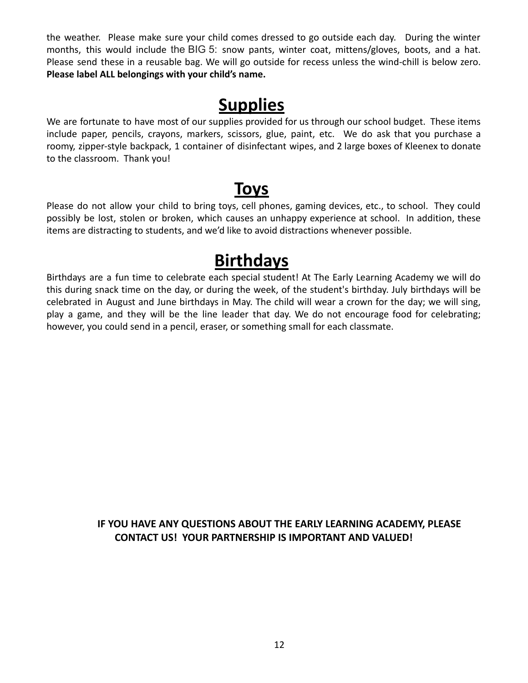the weather. Please make sure your child comes dressed to go outside each day. During the winter months, this would include the BIG 5: snow pants, winter coat, mittens/gloves, boots, and a hat. Please send these in a reusable bag. We will go outside for recess unless the wind-chill is below zero. **Please label ALL belongings with your child's name.**

#### **Supplies**

<span id="page-11-0"></span>We are fortunate to have most of our supplies provided for us through our school budget. These items include paper, pencils, crayons, markers, scissors, glue, paint, etc. We do ask that you purchase a roomy, zipper-style backpack, 1 container of disinfectant wipes, and 2 large boxes of Kleenex to donate to the classroom. Thank you!

### **Toys**

<span id="page-11-1"></span>Please do not allow your child to bring toys, cell phones, gaming devices, etc., to school. They could possibly be lost, stolen or broken, which causes an unhappy experience at school. In addition, these items are distracting to students, and we'd like to avoid distractions whenever possible.

### **Birthdays**

<span id="page-11-2"></span>Birthdays are a fun time to celebrate each special student! At The Early Learning Academy we will do this during snack time on the day, or during the week, of the student's birthday. July birthdays will be celebrated in August and June birthdays in May. The child will wear a crown for the day; we will sing, play a game, and they will be the line leader that day. We do not encourage food for celebrating; however, you could send in a pencil, eraser, or something small for each classmate.

#### **IF YOU HAVE ANY QUESTIONS ABOUT THE EARLY LEARNING ACADEMY, PLEASE CONTACT US! YOUR PARTNERSHIP IS IMPORTANT AND VALUED!**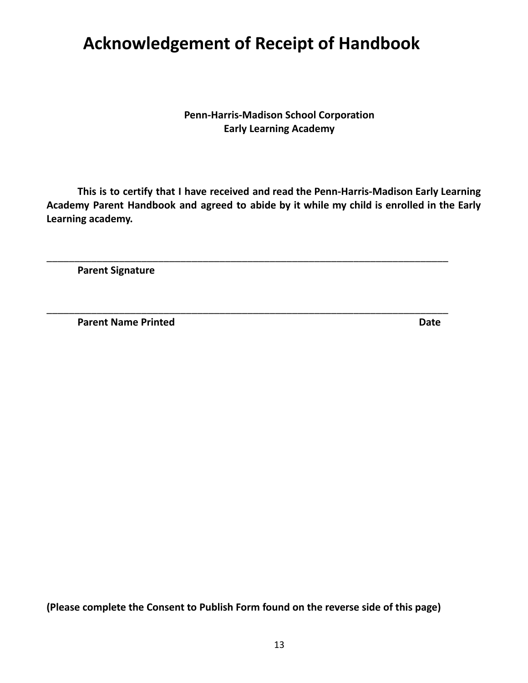## <span id="page-12-0"></span>**Acknowledgement of Receipt of Handbook**

**Penn-Harris-Madison School Corporation Early Learning Academy**

**This is to certify that I have received and read the Penn-Harris-Madison Early Learning Academy Parent Handbook and agreed to abide by it while my child is enrolled in the Early Learning academy.**

\_\_\_\_\_\_\_\_\_\_\_\_\_\_\_\_\_\_\_\_\_\_\_\_\_\_\_\_\_\_\_\_\_\_\_\_\_\_\_\_\_\_\_\_\_\_\_\_\_\_\_\_\_\_\_\_\_\_\_\_\_\_\_\_\_\_\_\_\_\_\_\_

\_\_\_\_\_\_\_\_\_\_\_\_\_\_\_\_\_\_\_\_\_\_\_\_\_\_\_\_\_\_\_\_\_\_\_\_\_\_\_\_\_\_\_\_\_\_\_\_\_\_\_\_\_\_\_\_\_\_\_\_\_\_\_\_\_\_\_\_\_\_\_\_

**Parent Signature**

**Parent Name Printed Date**

**(Please complete the Consent to Publish Form found on the reverse side of this page)**